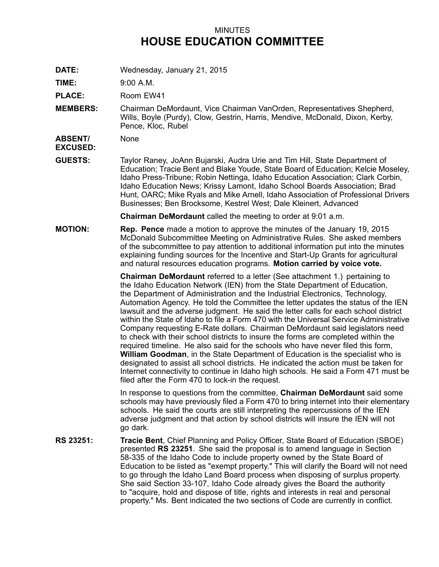## MINUTES **HOUSE EDUCATION COMMITTEE**

**DATE:** Wednesday, January 21, 2015

**TIME:** 9:00 A.M.

PLACE: Room EW41

**MEMBERS:** Chairman DeMordaunt, Vice Chairman VanOrden, Representatives Shepherd, Wills, Boyle (Purdy), Clow, Gestrin, Harris, Mendive, McDonald, Dixon, Kerby, Pence, Kloc, Rubel

**ABSENT/ EXCUSED:** None

**GUESTS:** Taylor Raney, JoAnn Bujarski, Audra Urie and Tim Hill, State Department of Education; Tracie Bent and Blake Youde, State Board of Education; Kelcie Moseley, Idaho Press-Tribune; Robin Nettinga, Idaho Education Association; Clark Corbin, Idaho Education News; Krissy Lamont, Idaho School Boards Association; Brad Hunt, OARC; Mike Ryals and Mike Arnell, Idaho Association of Professional Drivers Businesses; Ben Brocksome, Kestrel West; Dale Kleinert, Advanced

**Chairman DeMordaunt** called the meeting to order at 9:01 a.m.

**MOTION: Rep. Pence** made <sup>a</sup> motion to approve the minutes of the January 19, 2015 McDonald Subcommittee Meeting on Administrative Rules. She asked members of the subcommittee to pay attention to additional information put into the minutes explaining funding sources for the Incentive and Start-Up Grants for agricultural and natural resources education programs. **Motion carried by voice vote.**

> **Chairman DeMordaunt** referred to <sup>a</sup> letter (See attachment 1.) pertaining to the Idaho Education Network (IEN) from the State Department of Education, the Department of Administration and the Industrial Electronics, Technology, Automation Agency. He told the Committee the letter updates the status of the IEN lawsuit and the adverse judgment. He said the letter calls for each school district within the State of Idaho to file a Form 470 with the Universal Service Administrative Company requesting E-Rate dollars. Chairman DeMordaunt said legislators need to check with their school districts to insure the forms are completed within the required timeline. He also said for the schools who have never filed this form, **William Goodman**, in the State Department of Education is the specialist who is designated to assist all school districts. He indicated the action must be taken for Internet connectivity to continue in Idaho high schools. He said <sup>a</sup> Form 471 must be filed after the Form 470 to lock-in the request.

> In response to questions from the committee, **Chairman DeMordaunt** said some schools may have previously filed <sup>a</sup> Form 470 to bring internet into their elementary schools. He said the courts are still interpreting the repercussions of the IEN adverse judgment and that action by school districts will insure the IEN will not go dark.

**RS 23251: Tracie Bent**, Chief Planning and Policy Officer, State Board of Education (SBOE) presented **RS 23251**. She said the proposal is to amend language in Section 58-335 of the Idaho Code to include property owned by the State Board of Education to be listed as "exempt property." This will clarify the Board will not need to go through the Idaho Land Board process when disposing of surplus property. She said Section 33-107, Idaho Code already gives the Board the authority to "acquire, hold and dispose of title, rights and interests in real and personal property." Ms. Bent indicated the two sections of Code are currently in conflict.